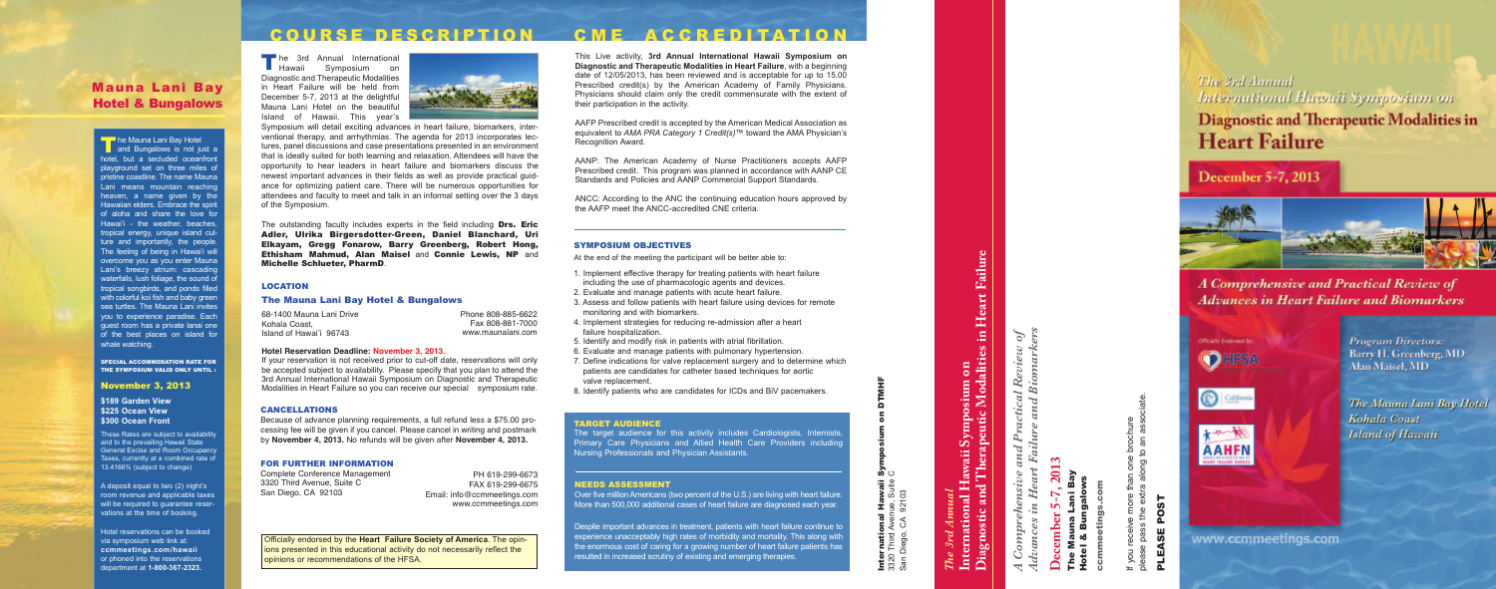# *The 3rd Annual*<br>International Hawaii Symposium on<br>Diagnostic and Therapeutic Modalities in Heart Failure **Diagnostic and Therapeutic Modalities in Heart Failure International Hawaii Symposium on** *The 3rd Annual*

San Diego, CA 92103

*Advances in Heart Failure and Biomarkers A Comprehensive and Practical Review of*  $\mathcal{L}$  $he$  $\dot{m}$ Comprel<br><del>l</del>vances i A<br>C<br>Adv

# **December 5-7, 2013**  $\overline{20}$  $\mathbf{v}$ mber

The Mauna Lani Bay Hotel & Bungalows na La<br>Bunga ಂಶೆ : : : : : : :<br>Hotel

ccmmeetings.com ting

iate. please pass the extra along to an associate. brochure<br>to an asso If you receive more than one brochure one<br>ng t  $\overline{\overline{a}}$ ത **@**  $\overline{\breve{\delta}}$  $\omega$ receive<br>a pass th If you<br>please

# POST PLEASE POST PLEASE

The 3rd Annual International Hawaii Syrrposium on **Diagnostic and Therapeutic Modalities in Heart Failure** 

# December 5-7, 2013



A Comprehensive and Practical Review of **Advances in Heart Failure and Biomarkers** 



www.ccmmeetings.com

**Program Directors:** Barry H. Greenberg, MD **Alan Maisel, MD** 

The Mauna Lani Bay Hotel Kohala Coast **Island of Hawaii** 

PH 619-299-6673 FAX 619-299-6675 Email: info@ccmmeetings.com www.ccmmeetings.com

- 1. Implement effective therapy for treating patients with heart failure including the use of pharmacologic agents and devices.
- 2. Evaluate and manage patients with acute heart failure.
- 3. Assess and follow patients with heart failure using devices for remote monitoring and with biomarkers.
- 4. Implement strategies for reducing re-admission after a heart failure hospitalization.
- 5. Identify and modify risk in patients with atrial fibrillation.
- 6. Evaluate and manage patients with pulmonary hypertension.
- 7. Define indications for valve replacement surgery and to determine which patients are candidates for catheter based techniques for aortic valve replacement.
- 8. Identify patients who are candidates for ICDs and BiV pacemakers.

# NEEDS ASSESSMENT

Over five million Americans (two percent of the U.S.) are living with heart failure. More than 500,000 additional cases of heart failure are diagnosed each year .

Despite important advances in treatment, patients with heart failure continue to experience unacceptably high rates of morbidity and mortality. This along with the enormous cost of caring for a growing number of heart failure patients has resulted in increased scrutiny of existing and emerging therapies.



International Hawaii Symposium on DTMHF 3320 Third Avenue, Suite C **Hawaii**<br>nue, Suite<br>92103 International I<br>3320 Third Avenu<br>San Diego, CA 9

# CANCELLATIONS

Because of advance planning requirements, a full refund less a \$75.00 processing fee will be given if you cancel. Please cancel in writing and postmark by **November 4, 2013.** No refunds will be given after **November 4, 2013.**

### FOR FURTHER INFORMATION

Complete Conference Management 3320 Third Avenue, Suite C San Diego, CA 92103

# SYMPOSIUM OBJECTIVES

At the end of the meeting the participant will be better able to:

### TARGET AUDIENCE

The target audience for this activity includes Cardiologists, Internists, Primary Care Physicians and Allied Health Care Providers including Nursing Professionals and Physician Assistants.

# Mauna Lani Bay Hotel & Bungalows

**He Mauna Lani Bay Hotel and Bungalows is not just a** hotel, but a secluded oceanfron playground set on three miles of pristine coastline. The name Mauna Lani means mountain reaching heaven, a name given by the Hawaiian elders. Embrace the spirit of aloha and share the love for Hawai'i - the weather, beaches tropical energy, unique island culture and importantly, the people The feeling of being in Hawai'i will overcome you as you enter Mauna Lani's breezy atrium: cascading waterfalls, lush foliage, the sound of tropical songbirds, and ponds filled with colorful koi fish and baby green sea turtles. The Mauna Lani invites you to experience paradise. Each guest room has a private lanai one of the best places on island for whale watching. The Mauna Lani Bay Hotel<br>
Inclel, but a secluded oceanration<br>
holey, but a secluded oceanration<br>
playground set on three mile<br>
pristine coastline. The name Me<br>
Lani means mountain reacl<br>
heaven, a name given by<br>
Hawaiian e

The outstanding faculty includes experts in the field including Drs. Eric Adler, Ulrika Bir gersdotter-Green, Daniel Blanchard, Uri Elkayam, Gregg Fonarow, Barry Greenberg, Robert Hong, Ethisham Mahmud, Alan Maisel and Connie Lewis, NP and Michelle Schlueter, PharmD .

SPECIAL ACCOMMODATION RATE FOR THE SYMPOSIUM VALID ONLY UNTIL :

# November 3, 2013

**\$189 Garden View \$225 Ocean View \$300 Ocean Front**

These Rates are subject to availability and to the prevailing Hawaii State General Excise and Room Occupancy Taxes, currently at a combined rate of 13.4166% (subject to change)

A deposit equal to two (2) night's room revenue and applicable taxes will be required to guarantee reservations at the time of booking.

Hotel reservations can be booked via symposium web link at: **ccmmeetings.co m/hawaii**  or phoned into the reservations

# LOCATION

# The Mauna Lani Ba y Hotel & Bungalows

68-1400 Mauna Lani Drive Kohala Coast, Island of Hawai'i 96743

# **Hotel Reservation Deadline: November 3, 2013.**

If your reservation is not received prior to cut-off date, reservations will only be accepted subject to availability. Please specify that you plan to attend the 3rd Annual International Hawaii Symposium on Diagnostic and Therapeutic Modalities in Heart Failure so you can receive our special symposium rate.

# COURSE DESCRIPTION CME ACCREDITATION

**he** 3rd Annual International Symposium on Diagnostic and Therapeutic Modalities in Heart Failure will be held from December 5-7, 2013 at the delightful Mauna Lani Hotel on the beautiful Island of Hawaii. This year's  $\blacksquare$  Hawaii



Symposium will detail exciting advances in heart failure, biomarkers, interventional therapy, and arrhythmias. The agenda for 2013 incorporates lectures, panel discussions and case presentations presented in an environment that is ideally suited for both learning and relaxation. Attendees will have the opportunity to hear leaders in heart failure and biomarkers discuss the newest important advances in their fields as well as provide practical guidance for optimizing patient care. There will be numerous opportunities for attendees and faculty to meet and talk in an informal setting over the 3 days of the Symposium.

This Live activity, **3rd Annual International Hawaii Symposium on Diagnostic and Therapeutic Modalities in Heart Failure** , with a beginning date of 12/05/2013, has been reviewed and is acceptable for up to 15.00 Prescribed credit(s) by the American Academy of Family Physicians. Physicians should claim only the credit commensurate with the extent of their participation in the activity.

AAFP Prescribed credit is accepted by the American Medical Association as equivalent to *AMA PRA Category 1 Credit(s)™* toward the AMA Physician's Recognition Award.

AANP: The American Academy of Nurse Practitioners accepts AAFP Prescribed credit. This program was planned in accordance with AANP CE Standards and Policies and AANP Commercial Support Standards.

ANCC: According to the ANC the continuing education hours approved by the AAFP meet the ANCC-accredited CNE criteria.

Phone 808-885-6622 Fax 808-881-7000 www.maunalani.com

Officially endorsed by the **Heart Failure Society of America** . The opin ions presented in this educational activity do not necessarily reflect the opinions or recommendations of the HFSA.